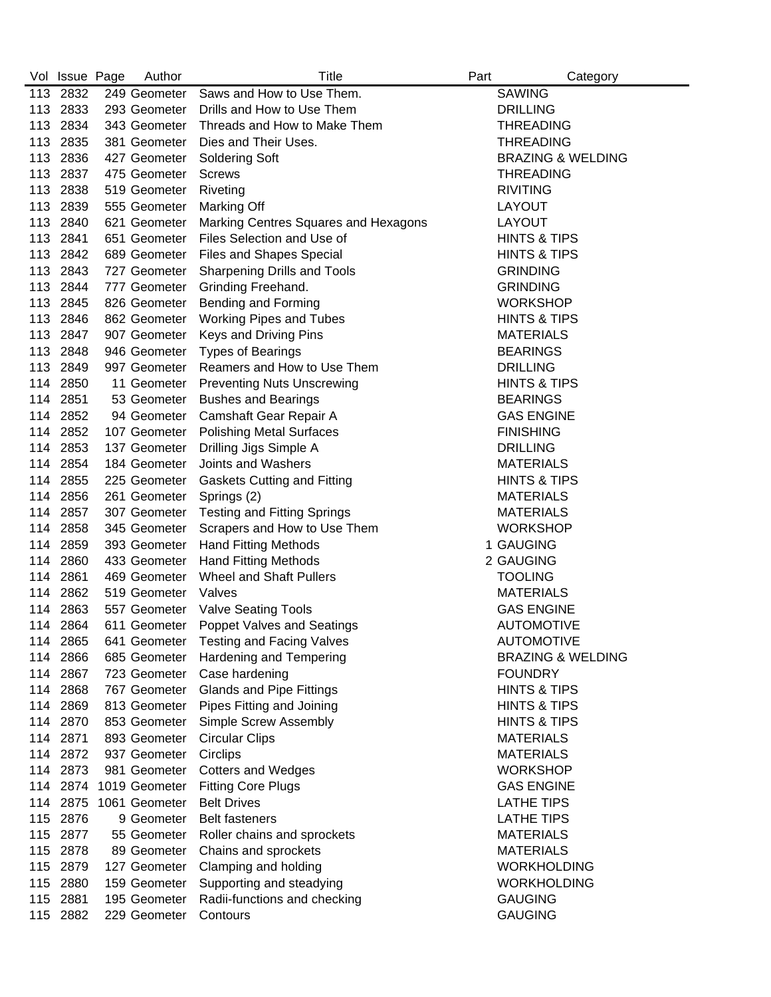|     | Vol Issue Page | Author        | Title                                | Part | Category                     |
|-----|----------------|---------------|--------------------------------------|------|------------------------------|
|     | 113 2832       | 249 Geometer  | Saws and How to Use Them.            |      | <b>SAWING</b>                |
|     | 113 2833       | 293 Geometer  | Drills and How to Use Them           |      | <b>DRILLING</b>              |
|     | 113 2834       | 343 Geometer  | Threads and How to Make Them         |      | <b>THREADING</b>             |
| 113 | 2835           | 381 Geometer  | Dies and Their Uses.                 |      | <b>THREADING</b>             |
| 113 | 2836           | 427 Geometer  | <b>Soldering Soft</b>                |      | <b>BRAZING &amp; WELDING</b> |
|     | 113 2837       | 475 Geometer  | <b>Screws</b>                        |      | <b>THREADING</b>             |
|     | 113 2838       | 519 Geometer  | Riveting                             |      | <b>RIVITING</b>              |
|     | 113 2839       | 555 Geometer  | Marking Off                          |      | LAYOUT                       |
|     | 113 2840       | 621 Geometer  | Marking Centres Squares and Hexagons |      | LAYOUT                       |
|     | 113 2841       | 651 Geometer  | Files Selection and Use of           |      | <b>HINTS &amp; TIPS</b>      |
| 113 | 2842           | 689 Geometer  | <b>Files and Shapes Special</b>      |      | <b>HINTS &amp; TIPS</b>      |
| 113 | 2843           | 727 Geometer  | Sharpening Drills and Tools          |      | <b>GRINDING</b>              |
|     | 113 2844       | 777 Geometer  | Grinding Freehand.                   |      | <b>GRINDING</b>              |
|     | 113 2845       | 826 Geometer  | <b>Bending and Forming</b>           |      | <b>WORKSHOP</b>              |
|     | 113 2846       | 862 Geometer  | <b>Working Pipes and Tubes</b>       |      | <b>HINTS &amp; TIPS</b>      |
|     | 113 2847       | 907 Geometer  | Keys and Driving Pins                |      | <b>MATERIALS</b>             |
|     | 113 2848       | 946 Geometer  | <b>Types of Bearings</b>             |      | <b>BEARINGS</b>              |
|     | 113 2849       | 997 Geometer  | Reamers and How to Use Them          |      | <b>DRILLING</b>              |
|     | 114 2850       | 11 Geometer   | <b>Preventing Nuts Unscrewing</b>    |      | <b>HINTS &amp; TIPS</b>      |
|     | 114 2851       | 53 Geometer   | <b>Bushes and Bearings</b>           |      | <b>BEARINGS</b>              |
|     | 114 2852       | 94 Geometer   | Camshaft Gear Repair A               |      | <b>GAS ENGINE</b>            |
|     | 114 2852       | 107 Geometer  | <b>Polishing Metal Surfaces</b>      |      | <b>FINISHING</b>             |
|     | 114 2853       | 137 Geometer  | Drilling Jigs Simple A               |      | <b>DRILLING</b>              |
|     | 114 2854       | 184 Geometer  | Joints and Washers                   |      | <b>MATERIALS</b>             |
|     | 114 2855       | 225 Geometer  | <b>Gaskets Cutting and Fitting</b>   |      | <b>HINTS &amp; TIPS</b>      |
| 114 | 2856           | 261 Geometer  | Springs (2)                          |      | <b>MATERIALS</b>             |
| 114 | 2857           | 307 Geometer  | <b>Testing and Fitting Springs</b>   |      | <b>MATERIALS</b>             |
| 114 | 2858           | 345 Geometer  | Scrapers and How to Use Them         |      | <b>WORKSHOP</b>              |
| 114 | 2859           | 393 Geometer  | <b>Hand Fitting Methods</b>          |      | 1 GAUGING                    |
|     | 114 2860       | 433 Geometer  | <b>Hand Fitting Methods</b>          |      | 2 GAUGING                    |
|     | 114 2861       | 469 Geometer  | <b>Wheel and Shaft Pullers</b>       |      | <b>TOOLING</b>               |
|     | 114 2862       | 519 Geometer  | Valves                               |      | <b>MATERIALS</b>             |
|     | 114 2863       | 557 Geometer  | <b>Valve Seating Tools</b>           |      | <b>GAS ENGINE</b>            |
|     | 114 2864       | 611 Geometer  | <b>Poppet Valves and Seatings</b>    |      | <b>AUTOMOTIVE</b>            |
|     | 114 2865       | 641 Geometer  | <b>Testing and Facing Valves</b>     |      | <b>AUTOMOTIVE</b>            |
|     | 114 2866       | 685 Geometer  | Hardening and Tempering              |      | <b>BRAZING &amp; WELDING</b> |
|     | 114 2867       | 723 Geometer  | Case hardening                       |      | <b>FOUNDRY</b>               |
|     | 114 2868       | 767 Geometer  | <b>Glands and Pipe Fittings</b>      |      | <b>HINTS &amp; TIPS</b>      |
|     | 114 2869       | 813 Geometer  | Pipes Fitting and Joining            |      | <b>HINTS &amp; TIPS</b>      |
|     | 114 2870       | 853 Geometer  | Simple Screw Assembly                |      | <b>HINTS &amp; TIPS</b>      |
|     | 114 2871       | 893 Geometer  | <b>Circular Clips</b>                |      | <b>MATERIALS</b>             |
|     | 114 2872       | 937 Geometer  | Circlips                             |      | <b>MATERIALS</b>             |
|     | 114 2873       | 981 Geometer  | <b>Cotters and Wedges</b>            |      | <b>WORKSHOP</b>              |
|     | 114 2874       | 1019 Geometer | <b>Fitting Core Plugs</b>            |      | <b>GAS ENGINE</b>            |
|     | 114 2875       | 1061 Geometer | <b>Belt Drives</b>                   |      | <b>LATHE TIPS</b>            |
|     | 115 2876       | 9 Geometer    | <b>Belt fasteners</b>                |      | <b>LATHE TIPS</b>            |
| 115 | 2877           | 55 Geometer   | Roller chains and sprockets          |      | <b>MATERIALS</b>             |
|     | 115 2878       | 89 Geometer   | Chains and sprockets                 |      | <b>MATERIALS</b>             |
| 115 | 2879           | 127 Geometer  | Clamping and holding                 |      | <b>WORKHOLDING</b>           |
| 115 | 2880           | 159 Geometer  | Supporting and steadying             |      | <b>WORKHOLDING</b>           |
| 115 | 2881           | 195 Geometer  | Radii-functions and checking         |      | <b>GAUGING</b>               |
|     | 115 2882       | 229 Geometer  | Contours                             |      | <b>GAUGING</b>               |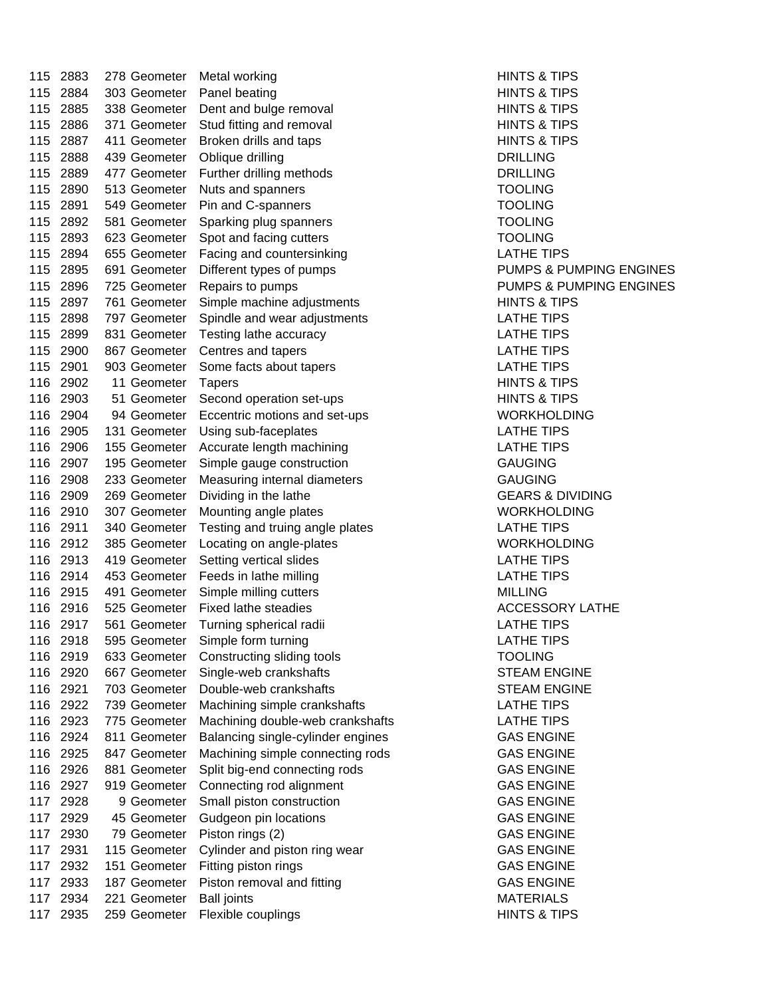115 2883 278 Geometer Metal working HINTS & TIPS 115 2884 303 Geometer Panel beating HINTS & TIPS 115 2885 338 Geometer Dent and bulge removal **HINTS & TIPS** 115 2886 371 Geometer Stud fitting and removal Fig. 2886 371 Geometer Stud fitting and removal 115 2887 411 Geometer Broken drills and taps **HINTS & TIPS** 1998 HINTS & TIPS 115 2888 439 Geometer Oblique drilling Change Change DRILLING 115 2889 477 Geometer Further drilling methods DRILLING 115 2890 513 Geometer Nuts and spanners TOOLING 115 2891 549 Geometer Pin and C-spanners TOOLING 115 2892 581 Geometer Sparking plug spanners TOOLING 115 2893 623 Geometer Spot and facing cutters TOOLING 115 2894 655 Geometer Facing and countersinking LATHE TIPS 115 2895 691 Geometer Different types of pumps **PUMPS & PUMPING ENGINES** 115 2896 725 Geometer Repairs to pumps PUMPS & PUMPING ENGINES 115 2897 761 Geometer Simple machine adjustments THINTS & TIPS 115 2898 797 Geometer Spindle and wear adjustments LATHE TIPS 115 2899 831 Geometer Testing lathe accuracy LATHE TIPS 115 2900 867 Geometer Centres and tapers **LATHE TIPS** 115 2901 903 Geometer Some facts about tapers **Some Strate Search Strate LATHE TIPS** 116 2902 11 Geometer Tapers **HINTS & TIPS** 116 2903 51 Geometer Second operation set-ups Fig. 5.1 HINTS & TIPS 116 2904 94 Geometer Eccentric motions and set-ups WORKHOLDING 116 2905 131 Geometer Using sub-faceplates LATHE TIPS 116 2906 155 Geometer Accurate length machining LATHE TIPS 116 2907 195 Geometer Simple gauge construction GAUGING 116 2908 233 Geometer Measuring internal diameters GAUGING 116 2909 269 Geometer Dividing in the lathe GEARS & DIVIDING 116 2910 307 Geometer Mounting angle plates Monetable More WORKHOLDING 116 2911 340 Geometer Testing and truing angle plates LATHE TIPS 116 2912 385 Geometer Locating on angle-plates Network Changer WORKHOLDING 116 2913 419 Geometer Setting vertical slides COMERCIAL STATE TIPS 116 2914 453 Geometer Feeds in lathe milling LATHE TIPS 116 2915 491 Geometer Simple milling cutters MILLING 116 2916 525 Geometer Fixed lathe steadies ACCESSORY LATHE 116 2917 561 Geometer Turning spherical radii LATHE TIPS 116 2918 595 Geometer Simple form turning The Contract of LATHE TIPS 116 2919 633 Geometer Constructing sliding tools TOOLING 116 2920 667 Geometer Single-web crankshafts STEAM ENGINE 116 2921 703 Geometer Double-web crankshafts STEAM ENGINE 116 2922 739 Geometer Machining simple crankshafts LATHE TIPS 116 2923 775 Geometer Machining double-web crankshafts LATHE TIPS 116 2924 811 Geometer Balancing single-cylinder engines GAS ENGINE 116 2925 847 Geometer Machining simple connecting rods GAS ENGINE 116 2926 881 Geometer Split big-end connecting rods GAS ENGINE 116 2927 919 Geometer Connecting rod alignment GAS ENGINE 117 2928 9 Geometer Small piston construction GAS ENGINE 117 2929 45 Geometer Gudgeon pin locations CAS ENGINE 117 2930 79 Geometer Piston rings (2) CAS ENGINE 117 2931 115 Geometer Cylinder and piston ring wear GAS ENGINE 117 2932 151 Geometer Fitting piston rings CAS ENGINE 117 2933 187 Geometer Piston removal and fitting The Same GAS ENGINE 117 2934 221 Geometer Ball joints MATERIALS 117 2935 259 Geometer Flexible couplings National Control of HINTS & TIPS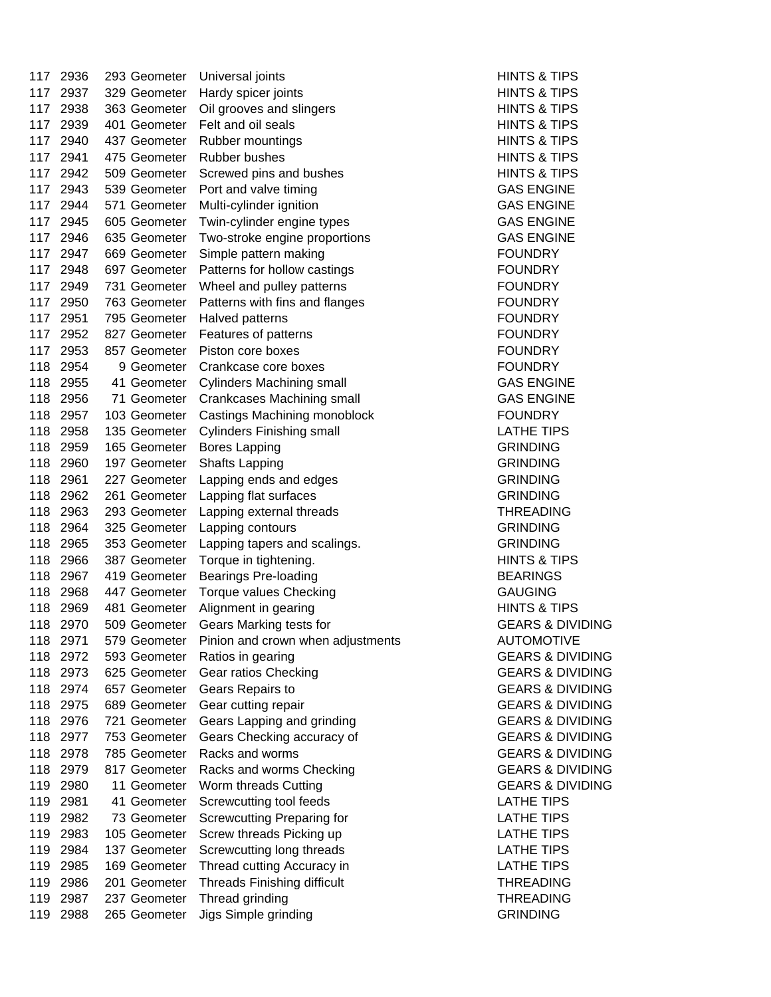| 117 | 2936 | 293 Geometer | Universal joints                   | <b>HINTS &amp; TI</b>                         |
|-----|------|--------------|------------------------------------|-----------------------------------------------|
| 117 | 2937 | 329 Geometer | Hardy spicer joints                | <b>HINTS &amp; TI</b>                         |
| 117 | 2938 | 363 Geometer | Oil grooves and slingers           | <b>HINTS &amp; TI</b>                         |
| 117 | 2939 | 401 Geometer | Felt and oil seals                 | <b>HINTS &amp; TI</b>                         |
| 117 | 2940 | 437 Geometer | Rubber mountings                   | <b>HINTS &amp; TI</b>                         |
| 117 | 2941 | 475 Geometer | Rubber bushes                      | <b>HINTS &amp; TI</b>                         |
| 117 | 2942 | 509 Geometer | Screwed pins and bushes            | <b>HINTS &amp; TI</b>                         |
| 117 | 2943 | 539 Geometer | Port and valve timing              | <b>GAS ENGII</b>                              |
| 117 | 2944 | 571 Geometer | Multi-cylinder ignition            | <b>GAS ENGII</b>                              |
| 117 | 2945 | 605 Geometer | Twin-cylinder engine types         | <b>GAS ENGII</b>                              |
| 117 | 2946 | 635 Geometer | Two-stroke engine proportions      | <b>GAS ENGII</b>                              |
| 117 | 2947 | 669 Geometer | Simple pattern making              | <b>FOUNDRY</b>                                |
| 117 | 2948 | 697 Geometer | Patterns for hollow castings       | <b>FOUNDRY</b>                                |
| 117 | 2949 | 731 Geometer | Wheel and pulley patterns          | <b>FOUNDRY</b>                                |
| 117 | 2950 | 763 Geometer | Patterns with fins and flanges     | <b>FOUNDRY</b>                                |
| 117 | 2951 | 795 Geometer | Halved patterns                    | <b>FOUNDRY</b>                                |
| 117 | 2952 | 827 Geometer | Features of patterns               | <b>FOUNDRY</b>                                |
| 117 | 2953 | 857 Geometer | Piston core boxes                  | <b>FOUNDRY</b>                                |
| 118 | 2954 | 9 Geometer   | Crankcase core boxes               | <b>FOUNDRY</b>                                |
| 118 | 2955 | 41 Geometer  | <b>Cylinders Machining small</b>   | <b>GAS ENGII</b>                              |
| 118 | 2956 | 71 Geometer  | Crankcases Machining small         | <b>GAS ENGII</b>                              |
| 118 | 2957 | 103 Geometer | Castings Machining monoblock       | <b>FOUNDRY</b>                                |
| 118 | 2958 | 135 Geometer | <b>Cylinders Finishing small</b>   | <b>LATHE TIP</b>                              |
| 118 | 2959 | 165 Geometer | <b>Bores Lapping</b>               | <b>GRINDING</b>                               |
| 118 | 2960 | 197 Geometer | <b>Shafts Lapping</b>              | <b>GRINDING</b>                               |
| 118 | 2961 | 227 Geometer | Lapping ends and edges             | <b>GRINDING</b>                               |
| 118 | 2962 | 261 Geometer | Lapping flat surfaces              | <b>GRINDING</b>                               |
| 118 | 2963 | 293 Geometer | Lapping external threads           | <b>THREADIN</b>                               |
| 118 | 2964 | 325 Geometer | Lapping contours                   | <b>GRINDING</b>                               |
| 118 | 2965 | 353 Geometer | Lapping tapers and scalings.       | <b>GRINDING</b>                               |
| 118 | 2966 | 387 Geometer |                                    | <b>HINTS &amp; TI</b>                         |
| 118 | 2967 | 419 Geometer | Torque in tightening.              | <b>BEARINGS</b>                               |
| 118 | 2968 | 447 Geometer | <b>Bearings Pre-loading</b>        | <b>GAUGING</b>                                |
|     |      |              | Torque values Checking             |                                               |
| 118 | 2969 | 481 Geometer | Alignment in gearing               | <b>HINTS &amp; TI</b><br><b>GEARS &amp; I</b> |
| 118 | 2970 | 509 Geometer | Gears Marking tests for            |                                               |
| 118 | 2971 | 579 Geometer | Pinion and crown when adjustments  | <b>AUTOMOT</b>                                |
| 118 | 2972 | 593 Geometer | Ratios in gearing                  | <b>GEARS &amp; I</b>                          |
| 118 | 2973 | 625 Geometer | Gear ratios Checking               | <b>GEARS &amp; I</b>                          |
| 118 | 2974 | 657 Geometer | Gears Repairs to                   | <b>GEARS &amp; I</b>                          |
| 118 | 2975 | 689 Geometer | Gear cutting repair                | <b>GEARS &amp; I</b>                          |
| 118 | 2976 | 721 Geometer | Gears Lapping and grinding         | <b>GEARS &amp; I</b>                          |
| 118 | 2977 | 753 Geometer | Gears Checking accuracy of         | <b>GEARS &amp; I</b>                          |
| 118 | 2978 | 785 Geometer | Racks and worms                    | <b>GEARS &amp; I</b>                          |
| 118 | 2979 | 817 Geometer | Racks and worms Checking           | <b>GEARS &amp; I</b>                          |
| 119 | 2980 | 11 Geometer  | Worm threads Cutting               | <b>GEARS &amp; I</b>                          |
| 119 | 2981 | 41 Geometer  | Screwcutting tool feeds            | <b>LATHE TIP</b>                              |
| 119 | 2982 | 73 Geometer  | <b>Screwcutting Preparing for</b>  | <b>LATHE TIP</b>                              |
| 119 | 2983 | 105 Geometer | Screw threads Picking up           | <b>LATHE TIP</b>                              |
| 119 | 2984 | 137 Geometer | Screwcutting long threads          | <b>LATHE TIP</b>                              |
| 119 | 2985 | 169 Geometer | Thread cutting Accuracy in         | <b>LATHE TIP</b>                              |
| 119 | 2986 | 201 Geometer | <b>Threads Finishing difficult</b> | <b>THREADIN</b>                               |
| 119 | 2987 | 237 Geometer | Thread grinding                    | <b>THREADIN</b>                               |
| 119 | 2988 | 265 Geometer | Jigs Simple grinding               | <b>GRINDING</b>                               |

**HINTS & TIPS HINTS & TIPS HINTS & TIPS HINTS & TIPS HINTS & TIPS HINTS & TIPS HINTS & TIPS GAS ENGINE GAS ENGINE GAS ENGINE GAS ENGINE** FOUNDRY FOUNDRY FOUNDRY FOUNDRY **GAS ENGINE GAS ENGINE** FOUNDRY LATHE TIPS **GRINDING GRINDING THREADING GRINDING** GRINDING **HINTS & TIPS** BEARINGS **HINTS & TIPS GEARS & DIVIDING** 12 297 319 AUTOMOTIVE **GEARS & DIVIDING GEARS & DIVIDING GEARS & DIVIDING GEARS & DIVIDING GEARS & DIVIDING GEARS & DIVIDING GEARS & DIVIDING GEARS & DIVIDING GEARS & DIVIDING LATHE TIPS** LATHE TIPS LATHE TIPS LATHE TIPS LATHE TIPS **THREADING THREADING** GRINDING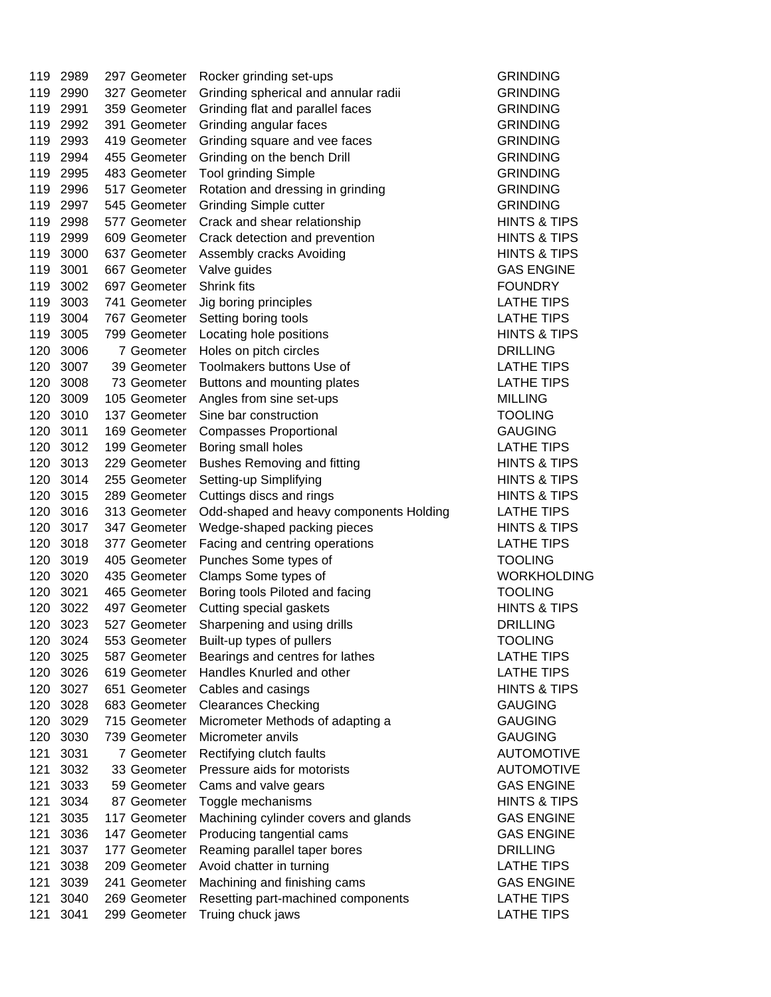| 119 | 2989 | 297 Geometer | Rocker grinding set-ups                 | <b>GRINDING</b>       |
|-----|------|--------------|-----------------------------------------|-----------------------|
| 119 | 2990 | 327 Geometer | Grinding spherical and annular radii    | <b>GRINDING</b>       |
| 119 | 2991 | 359 Geometer | Grinding flat and parallel faces        | <b>GRINDING</b>       |
| 119 | 2992 | 391 Geometer | Grinding angular faces                  | <b>GRINDING</b>       |
| 119 | 2993 | 419 Geometer | Grinding square and vee faces           | <b>GRINDING</b>       |
| 119 | 2994 | 455 Geometer | Grinding on the bench Drill             | <b>GRINDING</b>       |
| 119 | 2995 | 483 Geometer | <b>Tool grinding Simple</b>             | <b>GRINDING</b>       |
| 119 | 2996 | 517 Geometer | Rotation and dressing in grinding       | <b>GRINDING</b>       |
| 119 | 2997 | 545 Geometer | <b>Grinding Simple cutter</b>           | <b>GRINDING</b>       |
| 119 | 2998 | 577 Geometer | Crack and shear relationship            | <b>HINTS &amp; TI</b> |
| 119 | 2999 | 609 Geometer | Crack detection and prevention          | <b>HINTS &amp; TI</b> |
| 119 | 3000 | 637 Geometer | Assembly cracks Avoiding                | <b>HINTS &amp; TI</b> |
| 119 | 3001 | 667 Geometer | Valve guides                            | <b>GAS ENGII</b>      |
| 119 | 3002 | 697 Geometer | <b>Shrink fits</b>                      | <b>FOUNDRY</b>        |
| 119 | 3003 | 741 Geometer | Jig boring principles                   | <b>LATHE TIP</b>      |
| 119 | 3004 | 767 Geometer | Setting boring tools                    | <b>LATHE TIP</b>      |
| 119 | 3005 | 799 Geometer | Locating hole positions                 | <b>HINTS &amp; TI</b> |
| 120 | 3006 | 7 Geometer   | Holes on pitch circles                  | <b>DRILLING</b>       |
| 120 | 3007 | 39 Geometer  | Toolmakers buttons Use of               | <b>LATHE TIP</b>      |
| 120 | 3008 | 73 Geometer  | Buttons and mounting plates             | <b>LATHE TIP</b>      |
| 120 | 3009 | 105 Geometer | Angles from sine set-ups                | <b>MILLING</b>        |
| 120 | 3010 | 137 Geometer | Sine bar construction                   | <b>TOOLING</b>        |
| 120 | 3011 | 169 Geometer | <b>Compasses Proportional</b>           | <b>GAUGING</b>        |
| 120 | 3012 | 199 Geometer | Boring small holes                      | <b>LATHE TIP</b>      |
| 120 | 3013 | 229 Geometer | <b>Bushes Removing and fitting</b>      | <b>HINTS &amp; TI</b> |
| 120 | 3014 | 255 Geometer | Setting-up Simplifying                  | <b>HINTS &amp; TI</b> |
| 120 | 3015 | 289 Geometer | Cuttings discs and rings                | <b>HINTS &amp; TI</b> |
| 120 | 3016 | 313 Geometer | Odd-shaped and heavy components Holding | <b>LATHE TIP</b>      |
| 120 | 3017 | 347 Geometer | Wedge-shaped packing pieces             | <b>HINTS &amp; TI</b> |
| 120 | 3018 | 377 Geometer | Facing and centring operations          | <b>LATHE TIP</b>      |
| 120 | 3019 | 405 Geometer | Punches Some types of                   | <b>TOOLING</b>        |
| 120 | 3020 | 435 Geometer | Clamps Some types of                    | <b>WORKHOL</b>        |
| 120 | 3021 | 465 Geometer | Boring tools Piloted and facing         | <b>TOOLING</b>        |
| 120 | 3022 | 497 Geometer | Cutting special gaskets                 | <b>HINTS &amp; TI</b> |
| 120 | 3023 | 527 Geometer | Sharpening and using drills             | <b>DRILLING</b>       |
| 120 | 3024 | 553 Geometer | Built-up types of pullers               | TOOLING               |
| 120 | 3025 | 587 Geometer | Bearings and centres for lathes         | <b>LATHE TIP</b>      |
| 120 | 3026 | 619 Geometer | Handles Knurled and other               | <b>LATHE TIP</b>      |
| 120 | 3027 | 651 Geometer | Cables and casings                      | <b>HINTS &amp; TI</b> |
| 120 | 3028 | 683 Geometer | <b>Clearances Checking</b>              | <b>GAUGING</b>        |
| 120 | 3029 | 715 Geometer | Micrometer Methods of adapting a        | <b>GAUGING</b>        |
| 120 | 3030 | 739 Geometer | Micrometer anvils                       | <b>GAUGING</b>        |
| 121 | 3031 | 7 Geometer   |                                         | <b>AUTOMOT</b>        |
| 121 |      |              | Rectifying clutch faults                |                       |
|     | 3032 | 33 Geometer  | Pressure aids for motorists             | <b>AUTOMOT</b>        |
| 121 | 3033 | 59 Geometer  | Cams and valve gears                    | <b>GAS ENGII</b>      |
| 121 | 3034 | 87 Geometer  | Toggle mechanisms                       | <b>HINTS &amp; TI</b> |
| 121 | 3035 | 117 Geometer | Machining cylinder covers and glands    | <b>GAS ENGII</b>      |
| 121 | 3036 | 147 Geometer | Producing tangential cams               | <b>GAS ENGII</b>      |
| 121 | 3037 | 177 Geometer | Reaming parallel taper bores            | <b>DRILLING</b>       |
| 121 | 3038 | 209 Geometer | Avoid chatter in turning                | <b>LATHE TIP</b>      |
| 121 | 3039 | 241 Geometer | Machining and finishing cams            | <b>GAS ENGII</b>      |
| 121 | 3040 | 269 Geometer | Resetting part-machined components      | <b>LATHE TIP</b>      |
| 121 | 3041 | 299 Geometer | Truing chuck jaws                       | <b>LATHE TIP</b>      |

GRINDING GRINDING GRINDING **HINTS & TIPS HINTS & TIPS HINTS & TIPS GAS ENGINE LATHE TIPS** LATHE TIPS **HINTS & TIPS** DRILLING LATHE TIPS LATHE TIPS GAUGING LATHE TIPS **HINTS & TIPS HINTS & TIPS HINTS & TIPS LATHE TIPS HINTS & TIPS** LATHE TIPS **TOOLING WORKHOLDING HINTS & TIPS** DRILLING LATHE TIPS LATHE TIPS **HINTS & TIPS** GAUGING **AUTOMOTIVE AUTOMOTIVE GAS ENGINE HINTS & TIPS GAS ENGINE GAS ENGINE** LATHE TIPS GAS ENGINE LATHE TIPS LATHE TIPS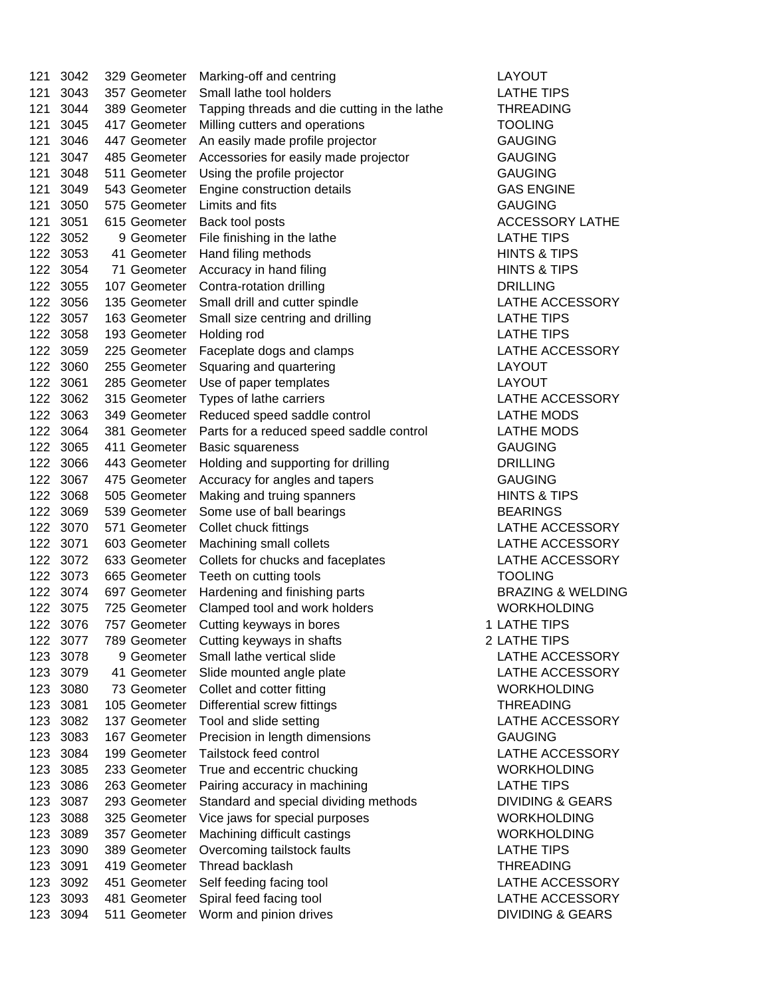121 3042 329 Geometer Marking-off and centring LAYOUT 121 3043 357 Geometer Small lathe tool holders LATHE TIPS 121 3044 389 Geometer Tapping threads and die cutting in the lathe THREADING 121 3045 417 Geometer Milling cutters and operations TOOLING 121 3046 447 Geometer An easily made profile projector GAUGING 121 3047 485 Geometer Accessories for easily made projector GAUGING 121 3048 511 Geometer Using the profile projector GAUGING 121 3049 543 Geometer Engine construction details GAS ENGINE 121 3050 575 Geometer Limits and fits GAUGING GAUGING 121 3051 615 Geometer Back tool posts ACCESSORY LATHE 122 3052 9 Geometer File finishing in the lathe LATHE TIPS 122 3053 41 Geometer Hand filing methods **HINTS & TIPS** 122 3054 71 Geometer Accuracy in hand filing HINTS & TIPS 122 3055 107 Geometer Contra-rotation drilling CONSERVITY DRILLING 122 3056 135 Geometer Small drill and cutter spindle LATHE ACCESSORY 122 3057 163 Geometer Small size centring and drilling LATHE TIPS 122 3058 193 Geometer Holding rod LATHE TIPS 122 3059 225 Geometer Faceplate dogs and clamps **LATHE ACCESSORY** 122 3060 255 Geometer Squaring and quartering LAYOUT 122 3061 285 Geometer Use of paper templates LAYOUT 122 3062 315 Geometer Types of lathe carriers COMENT CONTERNATE ACCESSORY 122 3063 349 Geometer Reduced speed saddle control LATHE MODS 122 3064 381 Geometer Parts for a reduced speed saddle control LATHE MODS 122 3065 411 Geometer Basic squareness GAUGING 122 3066 443 Geometer Holding and supporting for drilling DRILLING 122 3067 475 Geometer Accuracy for angles and tapers GAUGING 122 3068 505 Geometer Making and truing spanners HINTS & TIPS 122 3069 539 Geometer Some use of ball bearings BEARINGS 122 3070 571 Geometer Collet chuck fittings LATHE ACCESSORY 122 3071 603 Geometer Machining small collets **LATHE ACCESSORY** 122 3072 633 Geometer Collets for chucks and faceplates LATHE ACCESSORY 122 3073 665 Geometer Teeth on cutting tools TOOLING 122 3074 697 Geometer Hardening and finishing parts **BRAZING & WELDING** 122 3075 725 Geometer Clamped tool and work holders WORKHOLDING 122 3076 757 Geometer Cutting keyways in bores 1 LATHE TIPS 122 3077 789 Geometer Cutting keyways in shafts **2 LATHE TIPS** 123 3078 9 Geometer Small lathe vertical slide CHATHE ACCESSORY 123 3079 41 Geometer Slide mounted angle plate LATHE ACCESSORY 123 3080 73 Geometer Collet and cotter fitting WORKHOLDING 123 3081 105 Geometer Differential screw fittings THREADING 123 3082 137 Geometer Tool and slide setting LATHE ACCESSORY 123 3083 167 Geometer Precision in length dimensions GAUGING 123 3084 199 Geometer Tailstock feed control LATHE ACCESSORY 123 3085 233 Geometer True and eccentric chucking WORKHOLDING 123 3086 263 Geometer Pairing accuracy in machining LATHE TIPS 123 3087 293 Geometer Standard and special dividing methods DIVIDING & GEARS 123 3088 325 Geometer Vice jaws for special purposes WORKHOLDING 123 3089 357 Geometer Machining difficult castings WORKHOLDING 123 3090 389 Geometer Overcoming tailstock faults LATHE TIPS 123 3091 419 Geometer Thread backlash THREADING 123 3092 451 Geometer Self feeding facing tool LATHE ACCESSORY 123 3093 481 Geometer Spiral feed facing tool LATHE ACCESSORY 123 3094 511 Geometer Worm and pinion drives **DIVIDING & GEARS**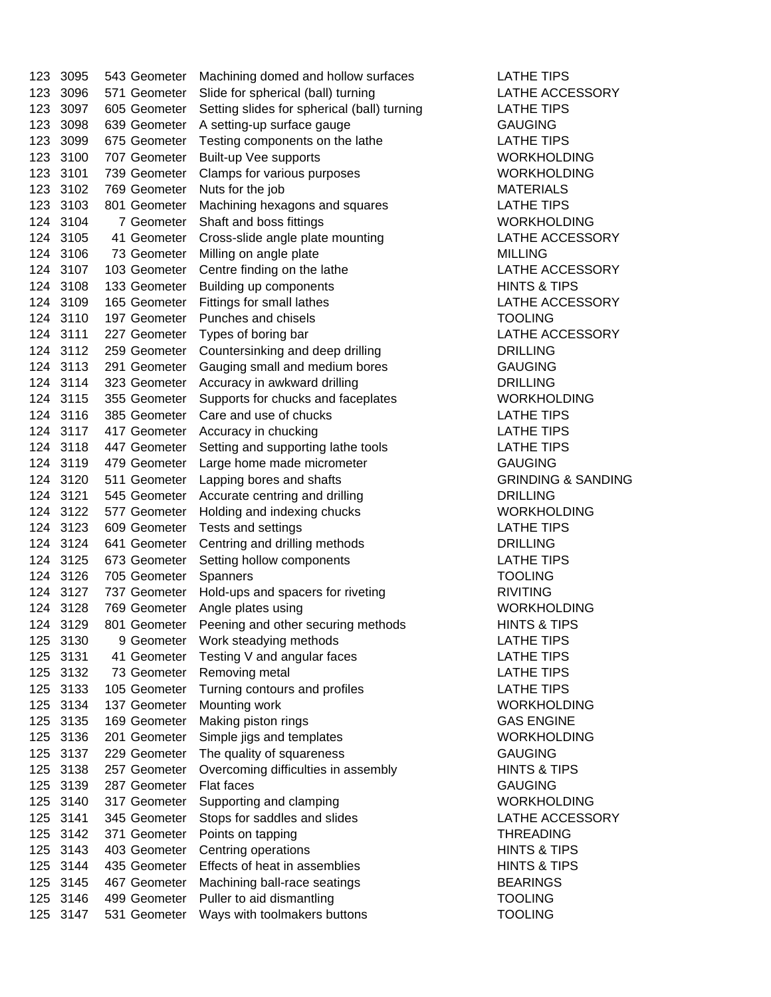| 123        | 3095         | 543 Geometer | Machining domed and hollow surfaces         | <b>LATHE TIF</b>                 |
|------------|--------------|--------------|---------------------------------------------|----------------------------------|
| 123        | 3096         | 571 Geometer | Slide for spherical (ball) turning          | <b>LATHE AC</b>                  |
| 123        | 3097         | 605 Geometer | Setting slides for spherical (ball) turning | <b>LATHE TIF</b>                 |
| 123        | 3098         | 639 Geometer | A setting-up surface gauge                  | <b>GAUGING</b>                   |
| 123        | 3099         | 675 Geometer | Testing components on the lathe             | <b>LATHE TIF</b>                 |
| 123        | 3100         | 707 Geometer | Built-up Vee supports                       | <b>WORKHO</b>                    |
| 123        | 3101         | 739 Geometer | Clamps for various purposes                 | <b>WORKHO</b>                    |
| 123        | 3102         | 769 Geometer | Nuts for the job                            | <b>MATERIAL</b>                  |
| 123        | 3103         | 801 Geometer | Machining hexagons and squares              | <b>LATHE TIF</b>                 |
| 124        | 3104         | 7 Geometer   | Shaft and boss fittings                     | <b>WORKHO</b>                    |
| 124        | 3105         | 41 Geometer  | Cross-slide angle plate mounting            | <b>LATHE AC</b>                  |
| 124        | 3106         | 73 Geometer  | Milling on angle plate                      | <b>MILLING</b>                   |
| 124        | 3107         | 103 Geometer | Centre finding on the lathe                 | <b>LATHE AC</b>                  |
| 124        | 3108         | 133 Geometer | Building up components                      | <b>HINTS &amp; T</b>             |
| 124        | 3109         | 165 Geometer | Fittings for small lathes                   | <b>LATHE AC</b>                  |
| 124        | 3110         | 197 Geometer | Punches and chisels                         | <b>TOOLING</b>                   |
| 124        | 3111         | 227 Geometer | Types of boring bar                         | <b>LATHE AC</b>                  |
| 124        | 3112         | 259 Geometer | Countersinking and deep drilling            | <b>DRILLING</b>                  |
| 124        | 3113         | 291 Geometer | Gauging small and medium bores              | <b>GAUGING</b>                   |
| 124        | 3114         | 323 Geometer | Accuracy in awkward drilling                | <b>DRILLING</b>                  |
| 124        | 3115         | 355 Geometer | Supports for chucks and faceplates          | <b>WORKHO</b>                    |
| 124        | 3116         | 385 Geometer | Care and use of chucks                      | <b>LATHE TIF</b>                 |
| 124        | 3117         | 417 Geometer | Accuracy in chucking                        | <b>LATHE TIF</b>                 |
| 124        | 3118         | 447 Geometer | Setting and supporting lathe tools          | <b>LATHE TIF</b>                 |
| 124        | 3119         | 479 Geometer | Large home made micrometer                  | <b>GAUGING</b>                   |
| 124        | 3120         | 511 Geometer | Lapping bores and shafts                    | <b>GRINDING</b>                  |
| 124        | 3121         | 545 Geometer | Accurate centring and drilling              | <b>DRILLING</b>                  |
| 124        | 3122         | 577 Geometer | Holding and indexing chucks                 | <b>WORKHO</b>                    |
| 124        | 3123         | 609 Geometer | Tests and settings                          | <b>LATHE TIF</b>                 |
| 124        | 3124         | 641 Geometer | Centring and drilling methods               | <b>DRILLING</b>                  |
| 124        | 3125         | 673 Geometer | Setting hollow components                   | <b>LATHE TIF</b>                 |
| 124        | 3126         | 705 Geometer | Spanners                                    | <b>TOOLING</b>                   |
| 124        | 3127         | 737 Geometer | Hold-ups and spacers for riveting           | <b>RIVITING</b>                  |
| 124        | 3128         | 769 Geometer | Angle plates using                          | <b>WORKHO</b>                    |
|            | 124 3129     | 801 Geometer | Peening and other securing methods          | <b>HINTS &amp; T</b>             |
| 125        | 3130         | 9 Geometer   | Work steadying methods                      | LATHE TIF                        |
| 125        | 3131         | 41 Geometer  | Testing V and angular faces                 | <b>LATHE TIF</b>                 |
| 125        | 3132         | 73 Geometer  | Removing metal                              | <b>LATHE TIF</b>                 |
| 125        | 3133         | 105 Geometer | Turning contours and profiles               | <b>LATHE TIF</b>                 |
| 125        | 3134         | 137 Geometer | Mounting work                               | <b>WORKHO</b>                    |
| 125        | 3135         | 169 Geometer | Making piston rings                         | <b>GAS ENGI</b>                  |
| 125        | 3136         | 201 Geometer | Simple jigs and templates                   | <b>WORKHO</b>                    |
| 125        | 3137         | 229 Geometer | The quality of squareness                   | <b>GAUGING</b>                   |
| 125        | 3138         | 257 Geometer | Overcoming difficulties in assembly         | <b>HINTS &amp; T</b>             |
|            |              |              |                                             | <b>GAUGING</b>                   |
| 125        | 3139         | 287 Geometer | Flat faces                                  |                                  |
| 125<br>125 | 3140<br>3141 | 317 Geometer | Supporting and clamping                     | <b>WORKHO</b><br><b>LATHE AC</b> |
|            |              | 345 Geometer | Stops for saddles and slides                |                                  |
| 125        | 3142         | 371 Geometer | Points on tapping                           | <b>THREADIN</b>                  |
| 125        | 3143         | 403 Geometer | Centring operations                         | <b>HINTS &amp; T</b>             |
| 125        | 3144         | 435 Geometer | Effects of heat in assemblies               | <b>HINTS &amp; T</b>             |
| 125        | 3145         | 467 Geometer | Machining ball-race seatings                | <b>BEARING</b>                   |
| 125        | 3146         | 499 Geometer | Puller to aid dismantling                   | <b>TOOLING</b>                   |
| 125        | 3147         | 531 Geometer | Ways with toolmakers buttons                | <b>TOOLING</b>                   |

LATHE TIPS LATHE ACCESSORY 123 Jaar – LATHE TIPS GAUGING **LATHE TIPS WORKHOLDING WORKHOLDING MATERIALS** LATHE TIPS WORKHOLDING LATHE ACCESSORY LATHE ACCESSORY **HINTS & TIPS** LATHE ACCESSORY 124 3110 197 Geometer Punches and chisels TOOLING LATHE ACCESSORY **WORKHOLDING** LATHE TIPS LATHE TIPS **LATHE TIPS** GRINDING & SANDING 124 3122 577 Geometer Holding and indexing chucks WORKHOLDING LATHE TIPS LATHE TIPS WORKHOLDING **HINTS & TIPS** LATHE TIPS LATHE TIPS LATHE TIPS **LATHE TIPS WORKHOLDING GAS ENGINE** WORKHOLDING GAUGING **HINTS & TIPS** WORKHOLDING LATHE ACCESSORY **THREADING HINTS & TIPS HINTS & TIPS** BEARINGS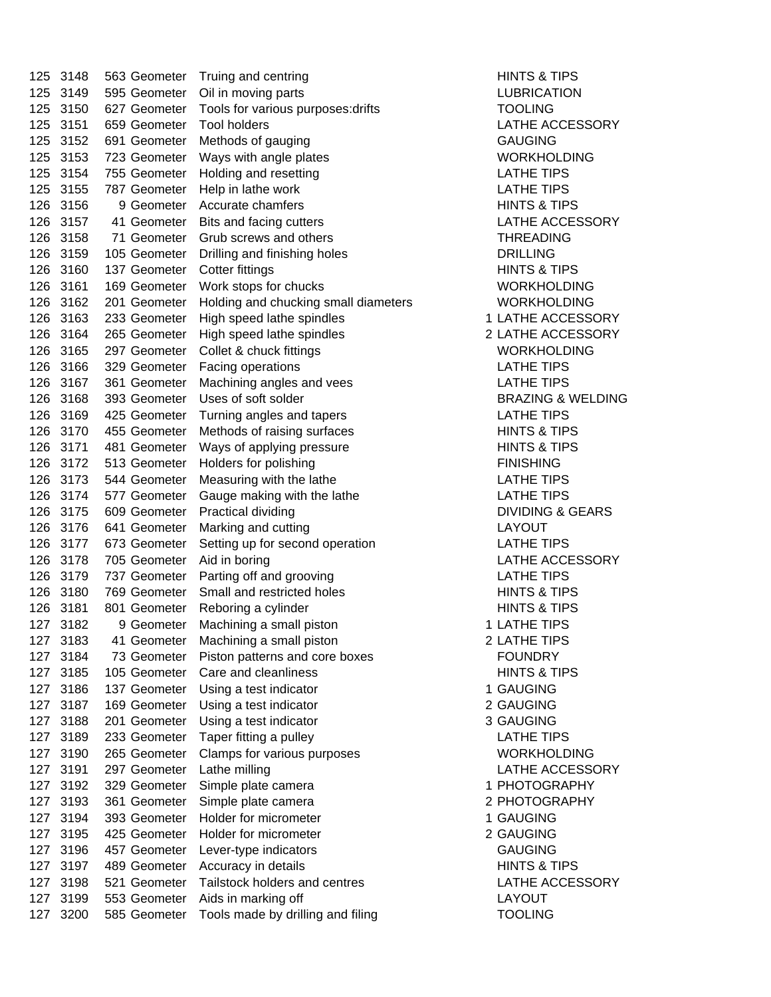| 125 | 3148     | 563 Geometer | Truing and centring                  | <b>HINTS &amp; TI</b> |
|-----|----------|--------------|--------------------------------------|-----------------------|
| 125 | 3149     | 595 Geometer | Oil in moving parts                  | <b>LUBRICAT</b>       |
| 125 | 3150     | 627 Geometer | Tools for various purposes: drifts   | <b>TOOLING</b>        |
| 125 | 3151     | 659 Geometer | <b>Tool holders</b>                  | <b>LATHE AC</b>       |
| 125 | 3152     | 691 Geometer | Methods of gauging                   | <b>GAUGING</b>        |
| 125 | 3153     | 723 Geometer | Ways with angle plates               | <b>WORKHOL</b>        |
| 125 | 3154     | 755 Geometer | Holding and resetting                | <b>LATHE TIP</b>      |
| 125 | 3155     | 787 Geometer | Help in lathe work                   | <b>LATHE TIP</b>      |
| 126 | 3156     | 9 Geometer   | Accurate chamfers                    | <b>HINTS &amp; TI</b> |
| 126 | 3157     | 41 Geometer  | Bits and facing cutters              | <b>LATHE AC</b>       |
| 126 | 3158     | 71 Geometer  | Grub screws and others               | <b>THREADIN</b>       |
| 126 | 3159     | 105 Geometer | Drilling and finishing holes         | <b>DRILLING</b>       |
| 126 | 3160     | 137 Geometer | <b>Cotter fittings</b>               | <b>HINTS &amp; TI</b> |
| 126 | 3161     | 169 Geometer |                                      | <b>WORKHOL</b>        |
|     |          |              | Work stops for chucks                |                       |
| 126 | 3162     | 201 Geometer | Holding and chucking small diameters | <b>WORKHOL</b>        |
| 126 | 3163     | 233 Geometer | High speed lathe spindles            | 1 LATHE AC            |
| 126 | 3164     | 265 Geometer | High speed lathe spindles            | 2 LATHE AC            |
| 126 | 3165     | 297 Geometer | Collet & chuck fittings              | <b>WORKHOL</b>        |
| 126 | 3166     | 329 Geometer | Facing operations                    | <b>LATHE TIP</b>      |
| 126 | 3167     | 361 Geometer | Machining angles and vees            | <b>LATHE TIP</b>      |
| 126 | 3168     | 393 Geometer | Uses of soft solder                  | <b>BRAZING &amp;</b>  |
| 126 | 3169     | 425 Geometer | Turning angles and tapers            | <b>LATHE TIP</b>      |
| 126 | 3170     | 455 Geometer | Methods of raising surfaces          | <b>HINTS &amp; TI</b> |
| 126 | 3171     | 481 Geometer | Ways of applying pressure            | <b>HINTS &amp; TI</b> |
| 126 | 3172     | 513 Geometer | Holders for polishing                | <b>FINISHING</b>      |
| 126 | 3173     | 544 Geometer | Measuring with the lathe             | <b>LATHE TIP</b>      |
| 126 | 3174     | 577 Geometer | Gauge making with the lathe          | <b>LATHE TIP</b>      |
| 126 | 3175     | 609 Geometer | Practical dividing                   | <b>DIVIDING 8</b>     |
| 126 | 3176     | 641 Geometer | Marking and cutting                  | LAYOUT                |
| 126 | 3177     | 673 Geometer | Setting up for second operation      | <b>LATHE TIP</b>      |
| 126 | 3178     | 705 Geometer | Aid in boring                        | <b>LATHE AC</b>       |
| 126 | 3179     | 737 Geometer | Parting off and grooving             | <b>LATHE TIP</b>      |
| 126 | 3180     | 769 Geometer | Small and restricted holes           | <b>HINTS &amp; TI</b> |
| 126 | 3181     | 801 Geometer | Reboring a cylinder                  | <b>HINTS &amp; TI</b> |
|     | 127 3182 | 9 Geometer   | Machining a small piston             | 1 LATHE TIP           |
| 127 | 3183     | 41 Geometer  | Machining a small piston             | 2 LATHE TIP           |
| 127 | 3184     | 73 Geometer  | Piston patterns and core boxes       | <b>FOUNDRY</b>        |
| 127 | 3185     | 105 Geometer | Care and cleanliness                 | <b>HINTS &amp; TI</b> |
| 127 | 3186     | 137 Geometer | Using a test indicator               | 1 GAUGING             |
| 127 | 3187     | 169 Geometer | Using a test indicator               | 2 GAUGING             |
| 127 | 3188     | 201 Geometer | Using a test indicator               | 3 GAUGING             |
| 127 | 3189     | 233 Geometer | Taper fitting a pulley               | <b>LATHE TIP</b>      |
| 127 | 3190     | 265 Geometer | Clamps for various purposes          | <b>WORKHOL</b>        |
| 127 | 3191     | 297 Geometer | Lathe milling                        | <b>LATHE AC</b>       |
| 127 | 3192     | 329 Geometer | Simple plate camera                  | 1 PHOTOGR             |
|     |          |              |                                      |                       |
| 127 | 3193     | 361 Geometer | Simple plate camera                  | 2 PHOTOGR             |
| 127 | 3194     | 393 Geometer | Holder for micrometer                | 1 GAUGING             |
| 127 | 3195     | 425 Geometer | Holder for micrometer                | 2 GAUGING             |
| 127 | 3196     | 457 Geometer | Lever-type indicators                | <b>GAUGING</b>        |
| 127 | 3197     | 489 Geometer | Accuracy in details                  | <b>HINTS &amp; TI</b> |
| 127 | 3198     | 521 Geometer | Tailstock holders and centres        | <b>LATHE AC</b>       |
| 127 | 3199     | 553 Geometer | Aids in marking off                  | <b>LAYOUT</b>         |
| 127 | 3200     | 585 Geometer | Tools made by drilling and filing    | <b>TOOLING</b>        |

**HINTS & TIPS LUBRICATION** LATHE ACCESSORY 125 3153 723 Geometer Ways with angle plates WORKHOLDING LATHE TIPS LATHE TIPS **HINTS & TIPS** LATHE ACCESSORY **THREADING** DRILLING **HINTS & TIPS** 126 3161 169 Geometer Work stops for chucks WORKHOLDING 126 3162 201 Geometer Holding and chucking small diameters WORKHOLDING 1 LATHE ACCESSORY 2 LATHE ACCESSORY WORKHOLDING LATHE TIPS LATHE TIPS **BRAZING & WELDING** LATHE TIPS **HINTS & TIPS HINTS & TIPS** LATHE TIPS LATHE TIPS DIVIDING & GEARS LATHE TIPS LATHE ACCESSORY LATHE TIPS **HINTS & TIPS HINTS & TIPS** 1 LATHE TIPS 2 LATHE TIPS **HINTS & TIPS** 2 GAUGING 3 GAUGING **LATHE TIPS WORKHOLDING** LATHE ACCESSORY 1 PHOTOGRAPHY 2 PHOTOGRAPHY 1 GAUGING 2 GAUGING GAUGING **HINTS & TIPS** LATHE ACCESSORY